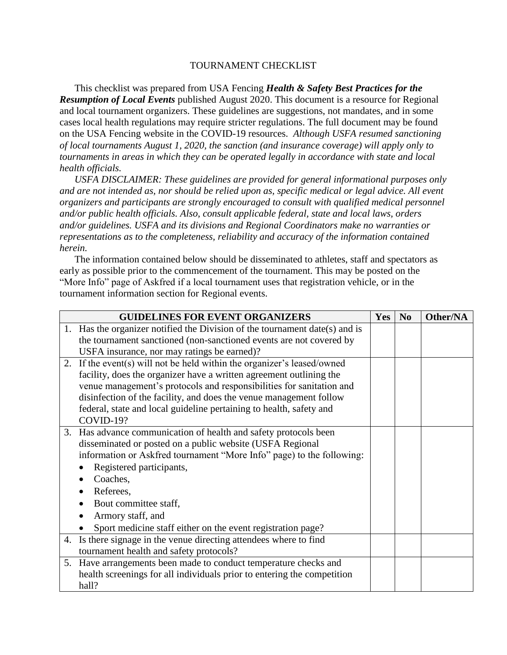## TOURNAMENT CHECKLIST

This checklist was prepared from USA Fencing *Health & Safety Best Practices for the Resumption of Local Events* published August 2020. This document is a resource for Regional and local tournament organizers. These guidelines are suggestions, not mandates, and in some cases local health regulations may require stricter regulations. The full document may be found on the USA Fencing website in the COVID-19 resources. *Although USFA resumed sanctioning of local tournaments August 1, 2020, the sanction (and insurance coverage) will apply only to tournaments in areas in which they can be operated legally in accordance with state and local health officials.*

*USFA DISCLAIMER: These guidelines are provided for general informational purposes only and are not intended as, nor should be relied upon as, specific medical or legal advice. All event organizers and participants are strongly encouraged to consult with qualified medical personnel and/or public health officials. Also, consult applicable federal, state and local laws, orders and/or guidelines. USFA and its divisions and Regional Coordinators make no warranties or representations as to the completeness, reliability and accuracy of the information contained herein.*

The information contained below should be disseminated to athletes, staff and spectators as early as possible prior to the commencement of the tournament. This may be posted on the "More Info" page of Askfred if a local tournament uses that registration vehicle, or in the tournament information section for Regional events.

| <b>GUIDELINES FOR EVENT ORGANIZERS</b>                                      | <b>Yes</b> | N <sub>0</sub> | Other/NA |
|-----------------------------------------------------------------------------|------------|----------------|----------|
| 1. Has the organizer notified the Division of the tournament date(s) and is |            |                |          |
| the tournament sanctioned (non-sanctioned events are not covered by         |            |                |          |
| USFA insurance, nor may ratings be earned)?                                 |            |                |          |
| 2. If the event(s) will not be held within the organizer's leased/owned     |            |                |          |
| facility, does the organizer have a written agreement outlining the         |            |                |          |
| venue management's protocols and responsibilities for sanitation and        |            |                |          |
| disinfection of the facility, and does the venue management follow          |            |                |          |
| federal, state and local guideline pertaining to health, safety and         |            |                |          |
| COVID-19?                                                                   |            |                |          |
| 3. Has advance communication of health and safety protocols been            |            |                |          |
| disseminated or posted on a public website (USFA Regional                   |            |                |          |
| information or Askfred tournament "More Info" page) to the following:       |            |                |          |
| Registered participants,                                                    |            |                |          |
| Coaches,                                                                    |            |                |          |
| Referees,                                                                   |            |                |          |
| Bout committee staff,                                                       |            |                |          |
| Armory staff, and                                                           |            |                |          |
| Sport medicine staff either on the event registration page?                 |            |                |          |
| 4. Is there signage in the venue directing attendees where to find          |            |                |          |
| tournament health and safety protocols?                                     |            |                |          |
| 5. Have arrangements been made to conduct temperature checks and            |            |                |          |
| health screenings for all individuals prior to entering the competition     |            |                |          |
| hall?                                                                       |            |                |          |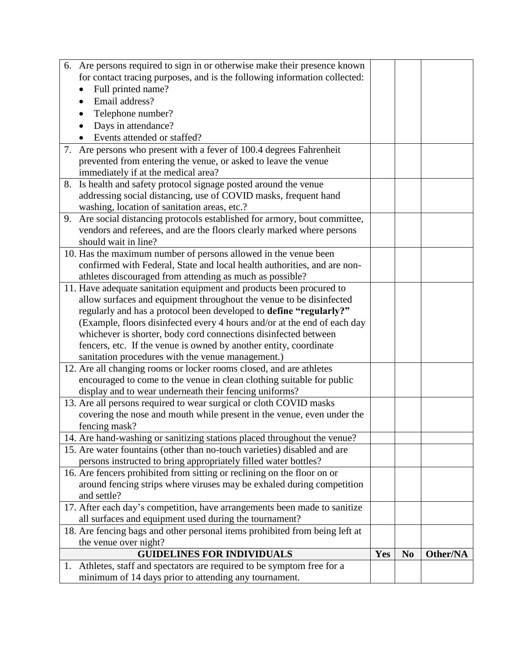| 6. Are persons required to sign in or otherwise make their presence known   |     |                |          |
|-----------------------------------------------------------------------------|-----|----------------|----------|
| for contact tracing purposes, and is the following information collected:   |     |                |          |
| Full printed name?                                                          |     |                |          |
| Email address?                                                              |     |                |          |
| Telephone number?                                                           |     |                |          |
| Days in attendance?                                                         |     |                |          |
| Events attended or staffed?                                                 |     |                |          |
| 7. Are persons who present with a fever of 100.4 degrees Fahrenheit         |     |                |          |
| prevented from entering the venue, or asked to leave the venue              |     |                |          |
| immediately if at the medical area?                                         |     |                |          |
| 8. Is health and safety protocol signage posted around the venue            |     |                |          |
| addressing social distancing, use of COVID masks, frequent hand             |     |                |          |
| washing, location of sanitation areas, etc.?                                |     |                |          |
| 9. Are social distancing protocols established for armory, bout committee,  |     |                |          |
| vendors and referees, and are the floors clearly marked where persons       |     |                |          |
| should wait in line?                                                        |     |                |          |
| 10. Has the maximum number of persons allowed in the venue been             |     |                |          |
| confirmed with Federal, State and local health authorities, and are non-    |     |                |          |
| athletes discouraged from attending as much as possible?                    |     |                |          |
| 11. Have adequate sanitation equipment and products been procured to        |     |                |          |
| allow surfaces and equipment throughout the venue to be disinfected         |     |                |          |
| regularly and has a protocol been developed to define "regularly?"          |     |                |          |
| (Example, floors disinfected every 4 hours and/or at the end of each day    |     |                |          |
| whichever is shorter, body cord connections disinfected between             |     |                |          |
| fencers, etc. If the venue is owned by another entity, coordinate           |     |                |          |
| sanitation procedures with the venue management.)                           |     |                |          |
| 12. Are all changing rooms or locker rooms closed, and are athletes         |     |                |          |
| encouraged to come to the venue in clean clothing suitable for public       |     |                |          |
| display and to wear underneath their fencing uniforms?                      |     |                |          |
| 13. Are all persons required to wear surgical or cloth COVID masks          |     |                |          |
| covering the nose and mouth while present in the venue, even under the      |     |                |          |
| fencing mask?                                                               |     |                |          |
| 14. Are hand-washing or sanitizing stations placed throughout the venue?    |     |                |          |
| 15. Are water fountains (other than no-touch varieties) disabled and are    |     |                |          |
| persons instructed to bring appropriately filled water bottles?             |     |                |          |
| 16. Are fencers prohibited from sitting or reclining on the floor on or     |     |                |          |
| around fencing strips where viruses may be exhaled during competition       |     |                |          |
| and settle?                                                                 |     |                |          |
| 17. After each day's competition, have arrangements been made to sanitize   |     |                |          |
| all surfaces and equipment used during the tournament?                      |     |                |          |
| 18. Are fencing bags and other personal items prohibited from being left at |     |                |          |
| the venue over night?<br><b>GUIDELINES FOR INDIVIDUALS</b>                  | Yes | N <sub>0</sub> | Other/NA |
|                                                                             |     |                |          |
| 1. Athletes, staff and spectators are required to be symptom free for a     |     |                |          |
| minimum of 14 days prior to attending any tournament.                       |     |                |          |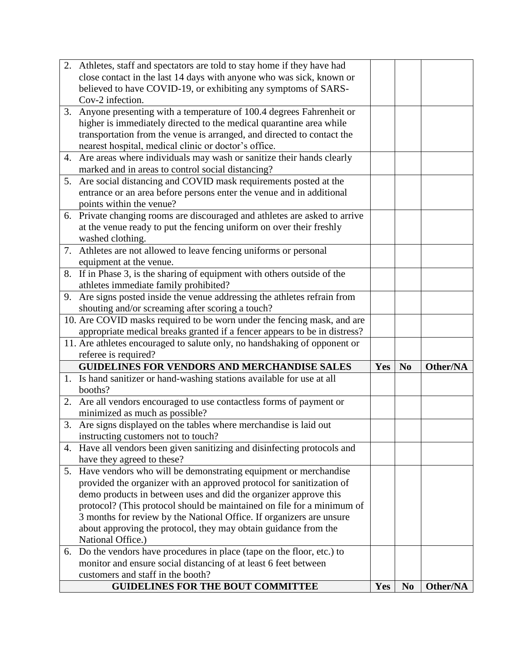|    | 2. Athletes, staff and spectators are told to stay home if they have had      |     |                |          |
|----|-------------------------------------------------------------------------------|-----|----------------|----------|
|    | close contact in the last 14 days with anyone who was sick, known or          |     |                |          |
|    | believed to have COVID-19, or exhibiting any symptoms of SARS-                |     |                |          |
|    | Cov-2 infection.                                                              |     |                |          |
|    | 3. Anyone presenting with a temperature of 100.4 degrees Fahrenheit or        |     |                |          |
|    | higher is immediately directed to the medical quarantine area while           |     |                |          |
|    | transportation from the venue is arranged, and directed to contact the        |     |                |          |
|    | nearest hospital, medical clinic or doctor's office.                          |     |                |          |
|    | 4. Are areas where individuals may wash or sanitize their hands clearly       |     |                |          |
|    | marked and in areas to control social distancing?                             |     |                |          |
| 5. | Are social distancing and COVID mask requirements posted at the               |     |                |          |
|    | entrance or an area before persons enter the venue and in additional          |     |                |          |
|    | points within the venue?                                                      |     |                |          |
|    | 6. Private changing rooms are discouraged and athletes are asked to arrive    |     |                |          |
|    | at the venue ready to put the fencing uniform on over their freshly           |     |                |          |
|    | washed clothing.                                                              |     |                |          |
|    | 7. Athletes are not allowed to leave fencing uniforms or personal             |     |                |          |
|    | equipment at the venue.                                                       |     |                |          |
|    | 8. If in Phase 3, is the sharing of equipment with others outside of the      |     |                |          |
|    | athletes immediate family prohibited?                                         |     |                |          |
|    | 9. Are signs posted inside the venue addressing the athletes refrain from     |     |                |          |
|    | shouting and/or screaming after scoring a touch?                              |     |                |          |
|    | 10. Are COVID masks required to be worn under the fencing mask, and are       |     |                |          |
|    | appropriate medical breaks granted if a fencer appears to be in distress?     |     |                |          |
|    | 11. Are athletes encouraged to salute only, no handshaking of opponent or     |     |                |          |
|    | referee is required?                                                          |     |                |          |
|    | <b>GUIDELINES FOR VENDORS AND MERCHANDISE SALES</b>                           | Yes | N <sub>0</sub> | Other/NA |
|    | 1. Is hand sanitizer or hand-washing stations available for use at all        |     |                |          |
|    | booths?                                                                       |     |                |          |
|    | 2. Are all vendors encouraged to use contactless forms of payment or          |     |                |          |
|    | minimized as much as possible?                                                |     |                |          |
|    | 3. Are signs displayed on the tables where merchandise is laid out            |     |                |          |
|    | instructing customers not to touch?                                           |     |                |          |
|    | 4. Have all vendors been given sanitizing and disinfecting protocols and      |     |                |          |
|    | have they agreed to these?                                                    |     |                |          |
|    | 5. Have vendors who will be demonstrating equipment or merchandise            |     |                |          |
|    | provided the organizer with an approved protocol for sanitization of          |     |                |          |
|    | demo products in between uses and did the organizer approve this              |     |                |          |
|    | protocol? (This protocol should be maintained on file for a minimum of        |     |                |          |
|    |                                                                               |     |                |          |
|    | 3 months for review by the National Office. If organizers are unsure          |     |                |          |
|    | about approving the protocol, they may obtain guidance from the               |     |                |          |
|    | National Office.)                                                             |     |                |          |
|    | 6. Do the vendors have procedures in place (tape on the floor, etc.) to       |     |                |          |
|    | monitor and ensure social distancing of at least 6 feet between               |     |                |          |
|    | customers and staff in the booth?<br><b>GUIDELINES FOR THE BOUT COMMITTEE</b> | Yes | <b>No</b>      | Other/NA |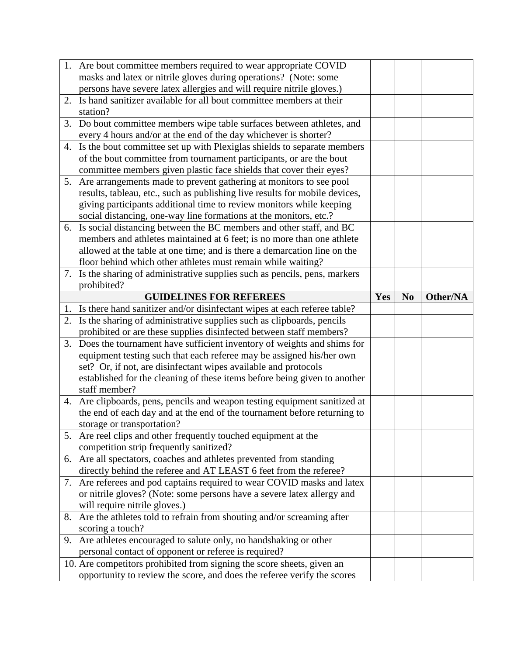|    | 1. Are bout committee members required to wear appropriate COVID                                                                                  |     |                |          |
|----|---------------------------------------------------------------------------------------------------------------------------------------------------|-----|----------------|----------|
|    | masks and latex or nitrile gloves during operations? (Note: some                                                                                  |     |                |          |
|    | persons have severe latex allergies and will require nitrile gloves.)                                                                             |     |                |          |
|    | 2. Is hand sanitizer available for all bout committee members at their                                                                            |     |                |          |
|    | station?                                                                                                                                          |     |                |          |
| 3. | Do bout committee members wipe table surfaces between athletes, and                                                                               |     |                |          |
|    | every 4 hours and/or at the end of the day whichever is shorter?                                                                                  |     |                |          |
|    | 4. Is the bout committee set up with Plexiglas shields to separate members                                                                        |     |                |          |
|    | of the bout committee from tournament participants, or are the bout                                                                               |     |                |          |
|    | committee members given plastic face shields that cover their eyes?                                                                               |     |                |          |
|    | 5. Are arrangements made to prevent gathering at monitors to see pool                                                                             |     |                |          |
|    | results, tableau, etc., such as publishing live results for mobile devices,                                                                       |     |                |          |
|    | giving participants additional time to review monitors while keeping                                                                              |     |                |          |
|    | social distancing, one-way line formations at the monitors, etc.?                                                                                 |     |                |          |
|    | 6. Is social distancing between the BC members and other staff, and BC                                                                            |     |                |          |
|    | members and athletes maintained at 6 feet; is no more than one athlete                                                                            |     |                |          |
|    | allowed at the table at one time; and is there a demarcation line on the                                                                          |     |                |          |
|    | floor behind which other athletes must remain while waiting?                                                                                      |     |                |          |
|    | 7. Is the sharing of administrative supplies such as pencils, pens, markers                                                                       |     |                |          |
|    | prohibited?                                                                                                                                       |     |                |          |
|    | <b>GUIDELINES FOR REFEREES</b>                                                                                                                    | Yes | N <sub>0</sub> | Other/NA |
| 1. | Is there hand sanitizer and/or disinfectant wipes at each referee table?                                                                          |     |                |          |
|    |                                                                                                                                                   |     |                |          |
|    | 2. Is the sharing of administrative supplies such as clipboards, pencils                                                                          |     |                |          |
|    | prohibited or are these supplies disinfected between staff members?                                                                               |     |                |          |
|    | 3. Does the tournament have sufficient inventory of weights and shims for                                                                         |     |                |          |
|    | equipment testing such that each referee may be assigned his/her own                                                                              |     |                |          |
|    | set? Or, if not, are disinfectant wipes available and protocols                                                                                   |     |                |          |
|    | established for the cleaning of these items before being given to another                                                                         |     |                |          |
|    | staff member?                                                                                                                                     |     |                |          |
|    | 4. Are clipboards, pens, pencils and weapon testing equipment sanitized at                                                                        |     |                |          |
|    | the end of each day and at the end of the tournament before returning to                                                                          |     |                |          |
|    | storage or transportation?                                                                                                                        |     |                |          |
|    | 5. Are reel clips and other frequently touched equipment at the                                                                                   |     |                |          |
|    | competition strip frequently sanitized?                                                                                                           |     |                |          |
|    | 6. Are all spectators, coaches and athletes prevented from standing                                                                               |     |                |          |
|    | directly behind the referee and AT LEAST 6 feet from the referee?                                                                                 |     |                |          |
|    | 7. Are referees and pod captains required to wear COVID masks and latex                                                                           |     |                |          |
|    | or nitrile gloves? (Note: some persons have a severe latex allergy and                                                                            |     |                |          |
|    | will require nitrile gloves.)                                                                                                                     |     |                |          |
| 8. | Are the athletes told to refrain from shouting and/or screaming after                                                                             |     |                |          |
|    | scoring a touch?                                                                                                                                  |     |                |          |
| 9. | Are athletes encouraged to salute only, no handshaking or other                                                                                   |     |                |          |
|    | personal contact of opponent or referee is required?                                                                                              |     |                |          |
|    | 10. Are competitors prohibited from signing the score sheets, given an<br>opportunity to review the score, and does the referee verify the scores |     |                |          |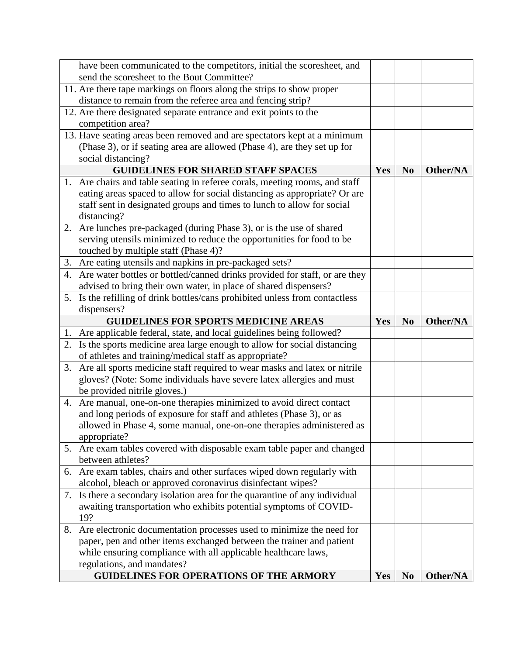|    | have been communicated to the competitors, initial the scoresheet, and        |     |                |          |
|----|-------------------------------------------------------------------------------|-----|----------------|----------|
|    | send the scoresheet to the Bout Committee?                                    |     |                |          |
|    | 11. Are there tape markings on floors along the strips to show proper         |     |                |          |
|    | distance to remain from the referee area and fencing strip?                   |     |                |          |
|    | 12. Are there designated separate entrance and exit points to the             |     |                |          |
|    | competition area?                                                             |     |                |          |
|    | 13. Have seating areas been removed and are spectators kept at a minimum      |     |                |          |
|    | (Phase 3), or if seating area are allowed (Phase 4), are they set up for      |     |                |          |
|    | social distancing?                                                            |     |                |          |
|    | <b>GUIDELINES FOR SHARED STAFF SPACES</b>                                     | Yes | N <sub>0</sub> | Other/NA |
|    | 1. Are chairs and table seating in referee corals, meeting rooms, and staff   |     |                |          |
|    | eating areas spaced to allow for social distancing as appropriate? Or are     |     |                |          |
|    | staff sent in designated groups and times to lunch to allow for social        |     |                |          |
|    | distancing?                                                                   |     |                |          |
|    | 2. Are lunches pre-packaged (during Phase 3), or is the use of shared         |     |                |          |
|    | serving utensils minimized to reduce the opportunities for food to be         |     |                |          |
|    | touched by multiple staff (Phase 4)?                                          |     |                |          |
|    | 3. Are eating utensils and napkins in pre-packaged sets?                      |     |                |          |
|    | 4. Are water bottles or bottled/canned drinks provided for staff, or are they |     |                |          |
|    | advised to bring their own water, in place of shared dispensers?              |     |                |          |
|    | 5. Is the refilling of drink bottles/cans prohibited unless from contactless  |     |                |          |
|    | dispensers?                                                                   |     |                |          |
|    | <b>GUIDELINES FOR SPORTS MEDICINE AREAS</b>                                   |     |                |          |
|    |                                                                               | Yes | N <sub>0</sub> | Other/NA |
|    | 1. Are applicable federal, state, and local guidelines being followed?        |     |                |          |
|    | 2. Is the sports medicine area large enough to allow for social distancing    |     |                |          |
|    | of athletes and training/medical staff as appropriate?                        |     |                |          |
|    | 3. Are all sports medicine staff required to wear masks and latex or nitrile  |     |                |          |
|    | gloves? (Note: Some individuals have severe latex allergies and must          |     |                |          |
|    | be provided nitrile gloves.)                                                  |     |                |          |
| 4. | Are manual, one-on-one therapies minimized to avoid direct contact            |     |                |          |
|    | and long periods of exposure for staff and athletes (Phase 3), or as          |     |                |          |
|    | allowed in Phase 4, some manual, one-on-one therapies administered as         |     |                |          |
|    | appropriate?                                                                  |     |                |          |
|    | 5. Are exam tables covered with disposable exam table paper and changed       |     |                |          |
|    | between athletes?                                                             |     |                |          |
| 6. | Are exam tables, chairs and other surfaces wiped down regularly with          |     |                |          |
|    | alcohol, bleach or approved coronavirus disinfectant wipes?                   |     |                |          |
| 7. | Is there a secondary isolation area for the quarantine of any individual      |     |                |          |
|    | awaiting transportation who exhibits potential symptoms of COVID-             |     |                |          |
|    | 19?                                                                           |     |                |          |
| 8. | Are electronic documentation processes used to minimize the need for          |     |                |          |
|    | paper, pen and other items exchanged between the trainer and patient          |     |                |          |
|    | while ensuring compliance with all applicable healthcare laws,                |     |                |          |
|    | regulations, and mandates?<br><b>GUIDELINES FOR OPERATIONS OF THE ARMORY</b>  | Yes | N <sub>0</sub> | Other/NA |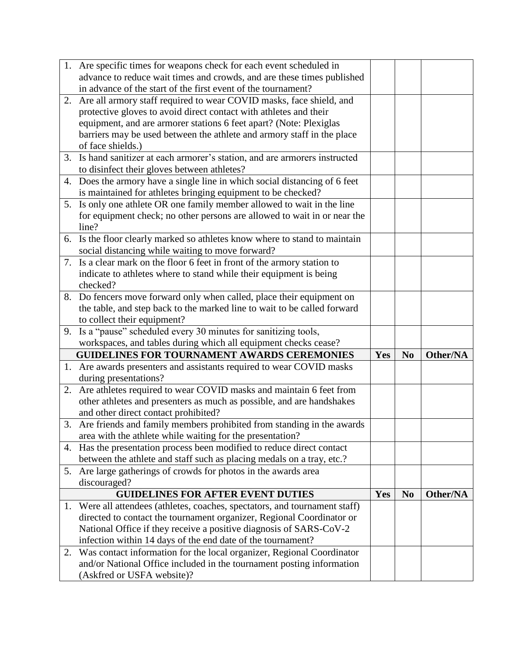|    | 1. Are specific times for weapons check for each event scheduled in                                 |     |                |          |
|----|-----------------------------------------------------------------------------------------------------|-----|----------------|----------|
|    | advance to reduce wait times and crowds, and are these times published                              |     |                |          |
|    | in advance of the start of the first event of the tournament?                                       |     |                |          |
|    | 2. Are all armory staff required to wear COVID masks, face shield, and                              |     |                |          |
|    | protective gloves to avoid direct contact with athletes and their                                   |     |                |          |
|    | equipment, and are armorer stations 6 feet apart? (Note: Plexiglas                                  |     |                |          |
|    | barriers may be used between the athlete and armory staff in the place                              |     |                |          |
|    | of face shields.)                                                                                   |     |                |          |
|    | 3. Is hand sanitizer at each armorer's station, and are armorers instructed                         |     |                |          |
|    | to disinfect their gloves between athletes?                                                         |     |                |          |
| 4. | Does the armory have a single line in which social distancing of 6 feet                             |     |                |          |
|    | is maintained for athletes bringing equipment to be checked?                                        |     |                |          |
|    | 5. Is only one athlete OR one family member allowed to wait in the line                             |     |                |          |
|    | for equipment check; no other persons are allowed to wait in or near the                            |     |                |          |
|    | line?                                                                                               |     |                |          |
|    | 6. Is the floor clearly marked so athletes know where to stand to maintain                          |     |                |          |
|    | social distancing while waiting to move forward?                                                    |     |                |          |
|    | 7. Is a clear mark on the floor 6 feet in front of the armory station to                            |     |                |          |
|    | indicate to athletes where to stand while their equipment is being                                  |     |                |          |
|    | checked?                                                                                            |     |                |          |
|    | 8. Do fencers move forward only when called, place their equipment on                               |     |                |          |
|    | the table, and step back to the marked line to wait to be called forward                            |     |                |          |
|    | to collect their equipment?                                                                         |     |                |          |
|    |                                                                                                     |     |                |          |
|    | 9. Is a "pause" scheduled every 30 minutes for sanitizing tools,                                    |     |                |          |
|    | workspaces, and tables during which all equipment checks cease?                                     |     |                |          |
|    | <b>GUIDELINES FOR TOURNAMENT AWARDS CEREMONIES</b>                                                  | Yes | N <sub>0</sub> | Other/NA |
|    | 1. Are awards presenters and assistants required to wear COVID masks                                |     |                |          |
|    | during presentations?                                                                               |     |                |          |
| 2. | Are athletes required to wear COVID masks and maintain 6 feet from                                  |     |                |          |
|    | other athletes and presenters as much as possible, and are handshakes                               |     |                |          |
|    | and other direct contact prohibited?                                                                |     |                |          |
|    | 3. Are friends and family members prohibited from standing in the awards                            |     |                |          |
|    | area with the athlete while waiting for the presentation?                                           |     |                |          |
|    | 4. Has the presentation process been modified to reduce direct contact                              |     |                |          |
|    | between the athlete and staff such as placing medals on a tray, etc.?                               |     |                |          |
|    | 5. Are large gatherings of crowds for photos in the awards area                                     |     |                |          |
|    | discouraged?                                                                                        |     |                |          |
|    | <b>GUIDELINES FOR AFTER EVENT DUTIES</b>                                                            | Yes | N <sub>0</sub> | Other/NA |
|    | 1. Were all attendees (athletes, coaches, spectators, and tournament staff)                         |     |                |          |
|    | directed to contact the tournament organizer, Regional Coordinator or                               |     |                |          |
|    | National Office if they receive a positive diagnosis of SARS-CoV-2                                  |     |                |          |
|    | infection within 14 days of the end date of the tournament?                                         |     |                |          |
| 2. | Was contact information for the local organizer, Regional Coordinator                               |     |                |          |
|    | and/or National Office included in the tournament posting information<br>(Askfred or USFA website)? |     |                |          |